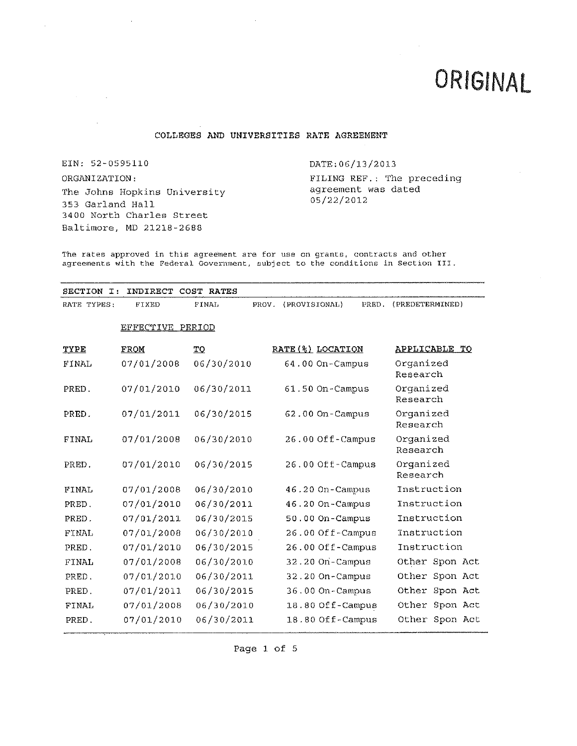# ORIGINAL

## **COLLEGES AND UNIVERSITIES RATE AGREEMENT**

EIN: 52-0595110

ORGANIZATION: The Johns Hopkins University 353 Garland Hall 3400 North Charles Street Baltimore, MD 21218-2688

DATE:06/l3/2013

FILING REF. : The preceding agreement was dated 05/22/2012

The rates approved in this agreement are for use on grants, contracts and other agreements with the Federal Government, subject to the conditions in Section III.

| SECTION<br>$\mathbf{T}$ : | INDIRECT         | COST RATES   |                        |                   |                       |
|---------------------------|------------------|--------------|------------------------|-------------------|-----------------------|
| RATE TYPES:               | FIXED            | <b>FINAL</b> | (PROVISIONAL)<br>PROV. | PRED.             | (PREDETERMINED)       |
|                           | EFFECTIVE PERIOD |              |                        |                   |                       |
| TYPE                      | FROM             | <u>то</u>    |                        | RATE (%) LOCATION | APPLICABLE TO         |
| FINAL                     | 07/01/2008       | 06/30/2010   |                        | 64.00 On-Campus   | Organized<br>Research |
| PRED.                     | 07/01/2010       | 06/30/2011   |                        | 61.50 On-Campus   | Organized<br>Research |
| PRED.                     | 07/01/2011       | 06/30/2015   |                        | $62.00$ On-Campus | Organized<br>Research |
| FINAL                     | 07/01/2008       | 06/30/2010   |                        | 26.00 Off-Campus  | Organized<br>Research |
| PRED.                     | 07/01/2010       | 06/30/2015   |                        | 26.00 Off-Campus  | Organized<br>Research |
| FINAL                     | 07/01/2008       | 06/30/2010   |                        | 46.20 On-Campus   | Instruction           |
| PRED.                     | 07/01/2010       | 06/30/2011   |                        | 46.20 On-Campus   | Instruction           |
| PRED.                     | 07/01/2011       | 06/30/2015   |                        | 50.00 On-Campus   | Instruction           |
| FINAL                     | 07/01/2008       | 06/30/2010   |                        | 26.00 Off-Campus  | Instruction           |
| PRED.                     | 07/01/2010       | 06/30/2015   |                        | 26.00 Off-Campus  | Instruction           |
| FINAL                     | 07/01/2008       | 06/30/2010   |                        | 32.20 On-Campus   | Other Spon Act        |
| PRED.                     | 07/01/2010       | 06/30/2011   |                        | 32.20 On-Campus   | Other Spon Act        |
| PRED.                     | 07/01/2011       | 06/30/2015   |                        | 36.00 On-Campus   | Other Spon Act        |
| FINAL                     | 07/01/2008       | 06/30/2010   |                        | 18.80 Off-Campus  | Other Spon Act        |
| PRED.                     | 07/01/2010       | 06/30/2011   |                        | 18.80 Off-Campus  | Other Spon Act        |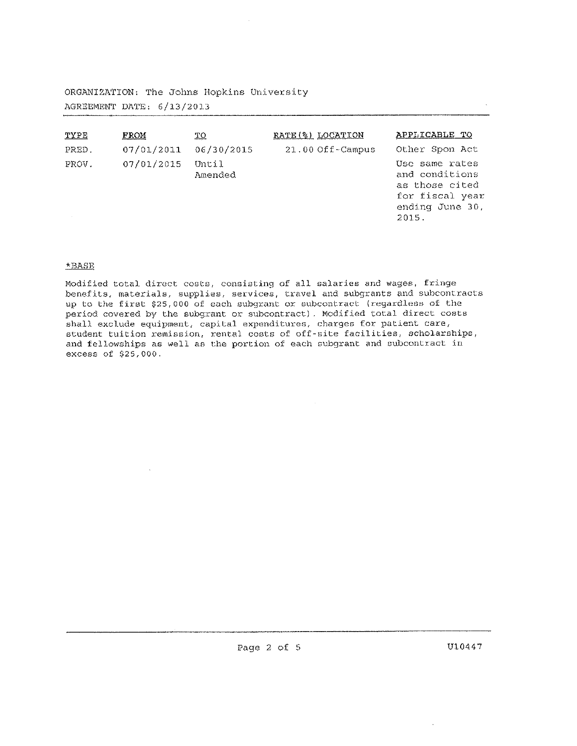# ORGANIZATION: The Johns Hopkins University AGREEMENT DATE: 6/13/2013

| TYPE  | FROM       | <u>TO</u>        | RATE (%) LOCATION  | APPLICABLE TO                                                                                     |
|-------|------------|------------------|--------------------|---------------------------------------------------------------------------------------------------|
| PRED. | 07/01/2011 | 06/30/2015       | $21.00$ Off-Campus | Other Spon Act                                                                                    |
| PROV. | 07/01/2015 | Until<br>Amended |                    | Use same rates<br>and conditions<br>as those cited<br>for fiscal year<br>ending June 30,<br>2015. |

## \*BASE

 $\sim$ 

Modified total direct costs, consisting of all salaries and wages, fringe benefits, materials, supplies, services, travel and subgrants and subcontracts up to the first \$25,000 of each subgrant or subcontract (regardless of the period covered by the subgrant or subcontract). Modified total direct costs shall exclude equipment, capital expenditures, charges for patient care, student tuition remission, rental costs of off-site facilities, scholarships, and fellowships as well as the portion of each subgrant and subcontract in excess of \$25,000.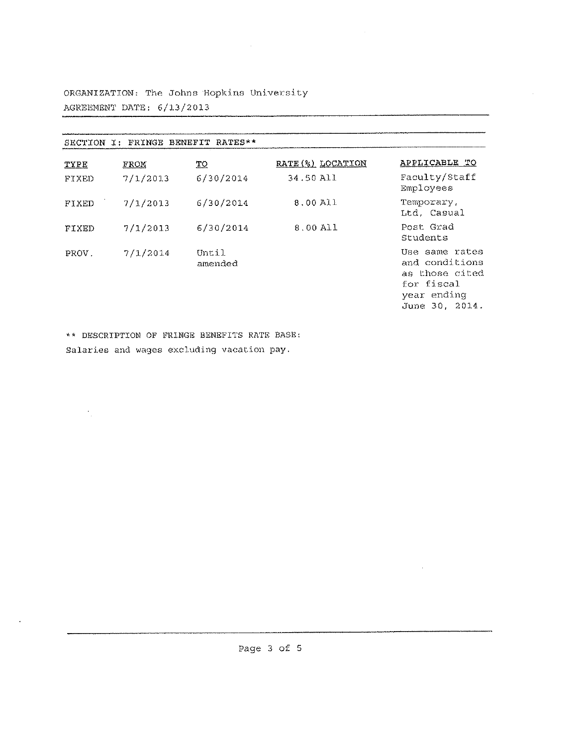ORGANIZATION: The Johns Hopkins University AGREEMENT DATE: 6/13/2013

| FRINGE BENEFIT RATES**<br>SECTION<br>T: |          |                  |                   |                                                                                                   |  |  |
|-----------------------------------------|----------|------------------|-------------------|---------------------------------------------------------------------------------------------------|--|--|
| TYPE                                    | FROM     | ΞQ               | RATE (%) LOCATION | APPLICABLE TO                                                                                     |  |  |
| FIXED                                   | 7/1/2013 | 6/30/2014        | 34.50 All         | Faculty/Staff<br>Employees                                                                        |  |  |
| FIXED                                   | 7/1/2013 | 6/30/2014        | 8.00 All          | Temporary.<br>Ltd. Casual                                                                         |  |  |
| FIXED                                   | 7/1/2013 | 6/30/2014        | 8.00 All          | Post Grad<br>Students                                                                             |  |  |
| PROV.                                   | 7/1/2014 | Until<br>amended |                   | Use same rates<br>and conditions<br>as those cited<br>for fiscal<br>year ending<br>June 30, 2014. |  |  |

 $\sim 10^7$ 

 $\sim$ 

<u> 1980 - Andrea Andrew Maria Barbara (h. 19</u>

 $\sim$ 

\*\* DESCRIPTION OF FRINGE BENEFITS RATE BASE: Salaries and wages excluding vacation pay.

 $\mathcal{O}_{\mathcal{A}}$ 

 $\ddot{\phantom{a}}$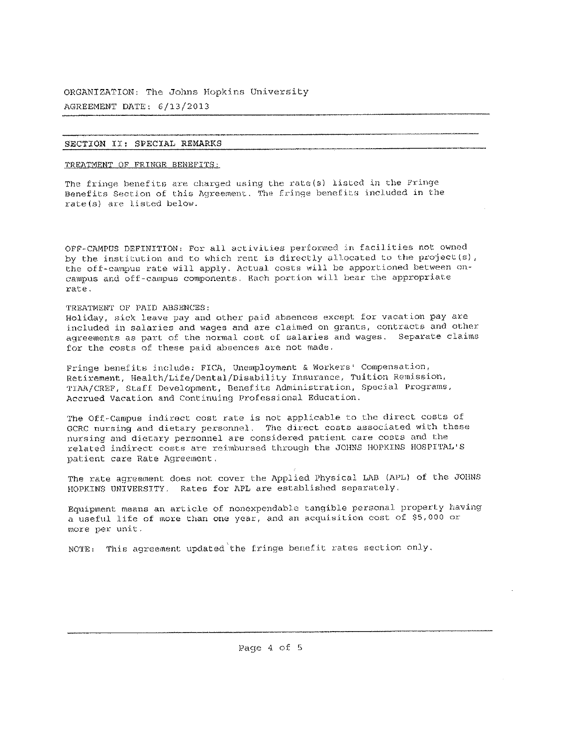### SECTION II: SPECIAL REMARKS

TREATMENT OF FRINGE BENEFITS:

The fringe benefits are charged using the rate(s) listed in the Fringe Benefits Section of this Agreement. The fringe benefits included in the rate(s) are listed below.

OPF~C7\MPUS DEFINITION: For all activities performed *in* facilities not owned by the institution and to which rent is directly allocated to the project(s), the off-campus rate will apply. Actual costs will be apportioned between oncampus and off-campus components. Each portion will bear the appropriate rate.

#### TREATMENT OF PAID ABSENCES:

Holiday, sick leave pay and other paid absences except for vacation pay are included in salaries and wages and are claimed on grants, contracts and other agreements as part of the normal cost of salaries and wages. Separate claims for the costs of these paid absences are not made.

Fringe benefits include: FICA, Unemployment & Workers' Compensation, Retirement, Health/Life/Dental/Disability Insurance, Tuition Remission, TIAA/CREP, Staff Development, Benefits Administration, Special Programs, Accrued Vacation and Continuing Professional Education.

The Off-Campus indirect cost rate is not applicable to the direct costs of GCRC nursing and dietary personnel. The direct costs associated with these nursing and dietary personnel are considered patient care costs and the related indirect costs are reimbursed through the JOHNS HOPKINS HOSPITAL'<sup>S</sup> patient care Rate Agreement ,

The rate agreement does not cover the Applied Physical LAB (APL) of the JOHNS HOPKINS UNIVERSITY. Rates for APL are established separately.

Equipment means an article of nonexpendable tangible personal property having <sup>a</sup> useful life of more than one year, and an acquisition cost of \$5,<sup>000</sup> or more per unit.

NOTE: This agreement updated the fringe benefit rates section only.